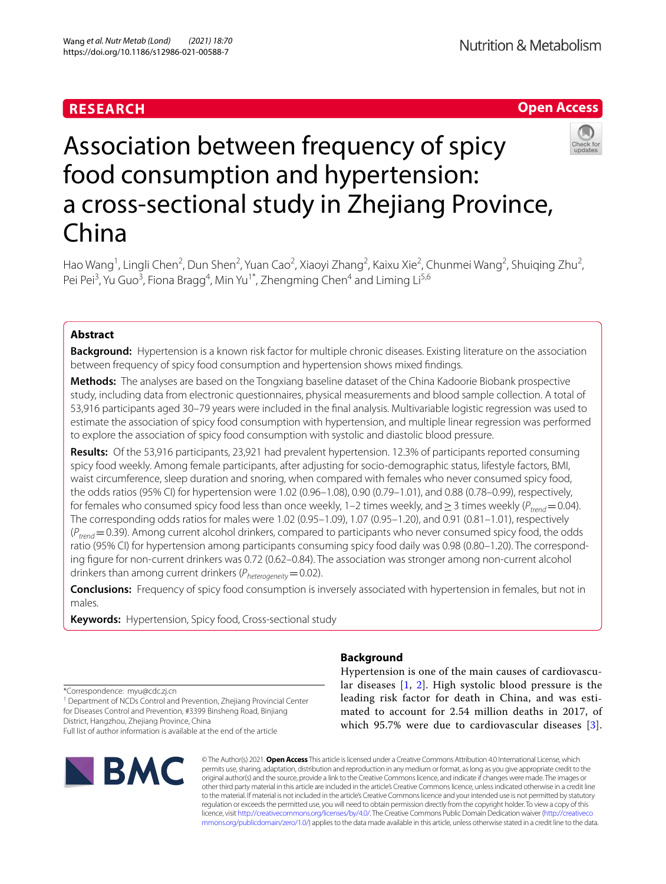# **RESEARCH**



# Association between frequency of spicy food consumption and hypertension: a cross-sectional study in Zhejiang Province, China

Hao Wang<sup>1</sup>, Lingli Chen<sup>2</sup>, Dun Shen<sup>2</sup>, Yuan Cao<sup>2</sup>, Xiaoyi Zhang<sup>2</sup>, Kaixu Xie<sup>2</sup>, Chunmei Wang<sup>2</sup>, Shuiqing Zhu<sup>2</sup>, Pei Pei<sup>3</sup>, Yu Guo<sup>3</sup>, Fiona Bragg<sup>4</sup>, Min Yu<sup>1\*</sup>, Zhengming Chen<sup>4</sup> and Liming Li<sup>5,6</sup>

# **Abstract**

**Background:** Hypertension is a known risk factor for multiple chronic diseases. Existing literature on the association between frequency of spicy food consumption and hypertension shows mixed fndings.

**Methods:** The analyses are based on the Tongxiang baseline dataset of the China Kadoorie Biobank prospective study, including data from electronic questionnaires, physical measurements and blood sample collection. A total of 53,916 participants aged 30–79 years were included in the fnal analysis. Multivariable logistic regression was used to estimate the association of spicy food consumption with hypertension, and multiple linear regression was performed to explore the association of spicy food consumption with systolic and diastolic blood pressure.

**Results:** Of the 53,916 participants, 23,921 had prevalent hypertension. 12.3% of participants reported consuming spicy food weekly. Among female participants, after adjusting for socio-demographic status, lifestyle factors, BMI, waist circumference, sleep duration and snoring, when compared with females who never consumed spicy food, the odds ratios (95% CI) for hypertension were 1.02 (0.96–1.08), 0.90 (0.79–1.01), and 0.88 (0.78–0.99), respectively, for females who consumed spicy food less than once weekly, 1–2 times weekly, and  $\geq$  3 times weekly ( $P_{trend}$  = 0.04). The corresponding odds ratios for males were 1.02 (0.95–1.09), 1.07 (0.95–1.20), and 0.91 (0.81–1.01), respectively (*P<sub>trend</sub>*=0.39). Among current alcohol drinkers, compared to participants who never consumed spicy food, the odds ratio (95% CI) for hypertension among participants consuming spicy food daily was 0.98 (0.80–1.20). The corresponding fgure for non-current drinkers was 0.72 (0.62–0.84). The association was stronger among non-current alcohol drinkers than among current drinkers ( $P_{heterogeneity}=0.02$ ).

**Conclusions:** Frequency of spicy food consumption is inversely associated with hypertension in females, but not in males.

**Keywords:** Hypertension, Spicy food, Cross-sectional study

\*Correspondence: myu@cdc.zj.cn

<sup>1</sup> Department of NCDs Control and Prevention, Zhejiang Provincial Center for Diseases Control and Prevention, #3399 Binsheng Road, Binjiang District, Hangzhou, Zhejiang Province, China

Full list of author information is available at the end of the article



# **Background**

Hypertension is one of the main causes of cardiovascular diseases [\[1](#page-8-0), [2\]](#page-8-1). High systolic blood pressure is the leading risk factor for death in China, and was estimated to account for 2.54 million deaths in 2017, of which 95.7% were due to cardiovascular diseases [[3](#page-8-2)].

© The Author(s) 2021. **Open Access** This article is licensed under a Creative Commons Attribution 4.0 International License, which permits use, sharing, adaptation, distribution and reproduction in any medium or format, as long as you give appropriate credit to the original author(s) and the source, provide a link to the Creative Commons licence, and indicate if changes were made. The images or other third party material in this article are included in the article's Creative Commons licence, unless indicated otherwise in a credit line to the material. If material is not included in the article's Creative Commons licence and your intended use is not permitted by statutory regulation or exceeds the permitted use, you will need to obtain permission directly from the copyright holder. To view a copy of this licence, visit [http://creativecommons.org/licenses/by/4.0/.](http://creativecommons.org/licenses/by/4.0/) The Creative Commons Public Domain Dedication waiver ([http://creativeco](http://creativecommons.org/publicdomain/zero/1.0/) [mmons.org/publicdomain/zero/1.0/](http://creativecommons.org/publicdomain/zero/1.0/)) applies to the data made available in this article, unless otherwise stated in a credit line to the data.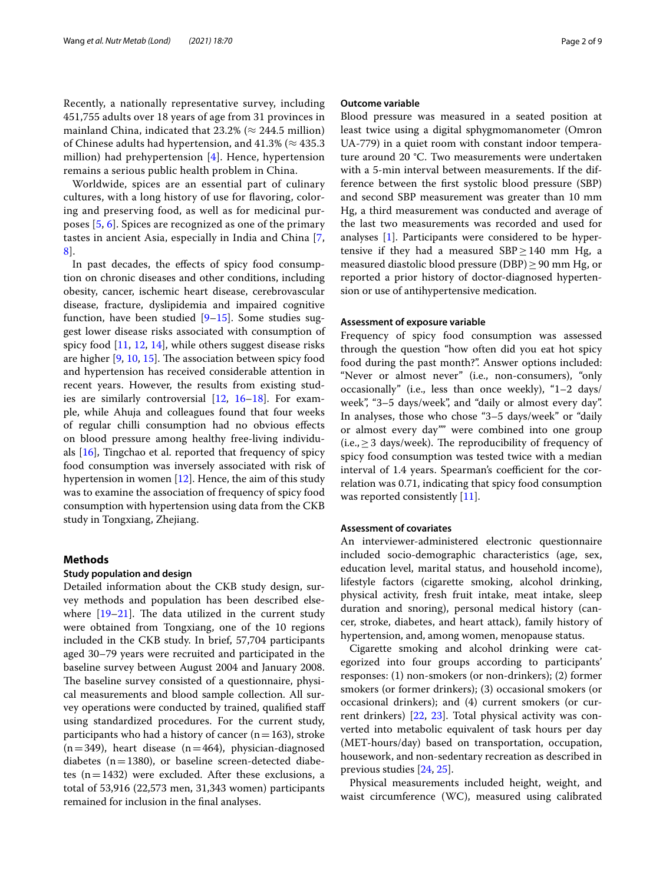Recently, a nationally representative survey, including 451,755 adults over 18 years of age from 31 provinces in mainland China, indicated that  $23.2\%$  ( $\approx$  244.5 million) of Chinese adults had hypertension, and  $41.3\%$  ( $\approx 435.3$ ) million) had prehypertension [\[4](#page-8-3)]. Hence, hypertension remains a serious public health problem in China.

Worldwide, spices are an essential part of culinary cultures, with a long history of use for favoring, coloring and preserving food, as well as for medicinal purposes [[5,](#page-8-4) [6\]](#page-8-5). Spices are recognized as one of the primary tastes in ancient Asia, especially in India and China [\[7](#page-8-6), [8\]](#page-8-7).

In past decades, the efects of spicy food consumption on chronic diseases and other conditions, including obesity, cancer, ischemic heart disease, cerebrovascular disease, fracture, dyslipidemia and impaired cognitive function, have been studied [[9–](#page-8-8)[15](#page-8-9)]. Some studies suggest lower disease risks associated with consumption of spicy food [\[11,](#page-8-10) [12,](#page-8-11) [14\]](#page-8-12), while others suggest disease risks are higher  $[9, 10, 15]$  $[9, 10, 15]$  $[9, 10, 15]$  $[9, 10, 15]$  $[9, 10, 15]$ . The association between spicy food and hypertension has received considerable attention in recent years. However, the results from existing studies are similarly controversial [[12](#page-8-11), [16–](#page-8-14)[18](#page-8-15)]. For example, while Ahuja and colleagues found that four weeks of regular chilli consumption had no obvious efects on blood pressure among healthy free-living individuals [[16\]](#page-8-14), Tingchao et al. reported that frequency of spicy food consumption was inversely associated with risk of hypertension in women [\[12\]](#page-8-11). Hence, the aim of this study was to examine the association of frequency of spicy food consumption with hypertension using data from the CKB study in Tongxiang, Zhejiang.

# **Methods**

#### **Study population and design**

Detailed information about the CKB study design, survey methods and population has been described elsewhere  $[19-21]$  $[19-21]$  $[19-21]$ . The data utilized in the current study were obtained from Tongxiang, one of the 10 regions included in the CKB study. In brief, 57,704 participants aged 30–79 years were recruited and participated in the baseline survey between August 2004 and January 2008. The baseline survey consisted of a questionnaire, physical measurements and blood sample collection. All survey operations were conducted by trained, qualifed staf using standardized procedures. For the current study, participants who had a history of cancer  $(n=163)$ , stroke  $(n=349)$ , heart disease  $(n=464)$ , physician-diagnosed diabetes ( $n=1380$ ), or baseline screen-detected diabetes  $(n=1432)$  were excluded. After these exclusions, a total of 53,916 (22,573 men, 31,343 women) participants remained for inclusion in the fnal analyses.

# **Outcome variable**

Blood pressure was measured in a seated position at least twice using a digital sphygmomanometer (Omron UA-779) in a quiet room with constant indoor temperature around 20 °C. Two measurements were undertaken with a 5-min interval between measurements. If the difference between the frst systolic blood pressure (SBP) and second SBP measurement was greater than 10 mm Hg, a third measurement was conducted and average of the last two measurements was recorded and used for analyses [[1\]](#page-8-0). Participants were considered to be hypertensive if they had a measured SBP≥140 mm Hg, a measured diastolic blood pressure (DBP)≥90 mm Hg, or reported a prior history of doctor-diagnosed hypertension or use of antihypertensive medication.

## **Assessment of exposure variable**

Frequency of spicy food consumption was assessed through the question "how often did you eat hot spicy food during the past month?". Answer options included: "Never or almost never" (i.e., non-consumers), "only occasionally" (i.e., less than once weekly), "1–2 days/ week", "3–5 days/week", and "daily or almost every day". In analyses, those who chose "3–5 days/week" or "daily or almost every day"" were combined into one group (i.e.,  $\geq$  3 days/week). The reproducibility of frequency of spicy food consumption was tested twice with a median interval of 1.4 years. Spearman's coefficient for the correlation was 0.71, indicating that spicy food consumption was reported consistently [\[11](#page-8-10)].

#### **Assessment of covariates**

An interviewer-administered electronic questionnaire included socio-demographic characteristics (age, sex, education level, marital status, and household income), lifestyle factors (cigarette smoking, alcohol drinking, physical activity, fresh fruit intake, meat intake, sleep duration and snoring), personal medical history (cancer, stroke, diabetes, and heart attack), family history of hypertension, and, among women, menopause status.

Cigarette smoking and alcohol drinking were categorized into four groups according to participants' responses: (1) non-smokers (or non-drinkers); (2) former smokers (or former drinkers); (3) occasional smokers (or occasional drinkers); and (4) current smokers (or current drinkers) [[22,](#page-8-18) [23\]](#page-8-19). Total physical activity was converted into metabolic equivalent of task hours per day (MET-hours/day) based on transportation, occupation, housework, and non-sedentary recreation as described in previous studies [\[24](#page-8-20), [25](#page-8-21)].

Physical measurements included height, weight, and waist circumference (WC), measured using calibrated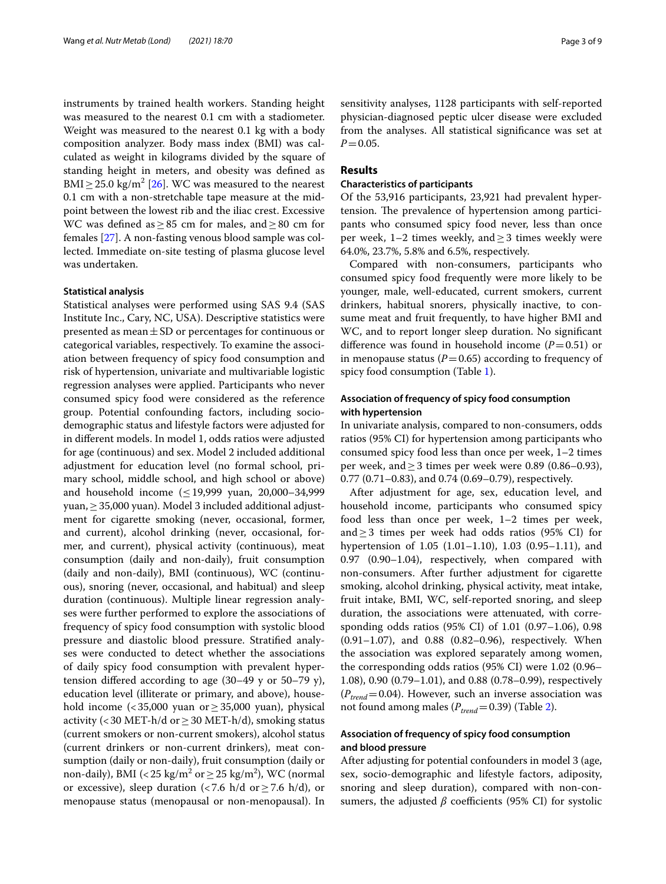instruments by trained health workers. Standing height was measured to the nearest 0.1 cm with a stadiometer. Weight was measured to the nearest 0.1 kg with a body composition analyzer. Body mass index (BMI) was calculated as weight in kilograms divided by the square of standing height in meters, and obesity was defned as BMI  $\geq$  25.0 kg/m<sup>2</sup> [\[26](#page-8-22)]. WC was measured to the nearest 0.1 cm with a non-stretchable tape measure at the midpoint between the lowest rib and the iliac crest. Excessive WC was defined as  $\geq 85$  cm for males, and  $\geq 80$  cm for females [\[27\]](#page-8-23). A non-fasting venous blood sample was collected. Immediate on-site testing of plasma glucose level was undertaken.

# **Statistical analysis**

Statistical analyses were performed using SAS 9.4 (SAS Institute Inc., Cary, NC, USA). Descriptive statistics were presented as mean $\pm$ SD or percentages for continuous or categorical variables, respectively. To examine the association between frequency of spicy food consumption and risk of hypertension, univariate and multivariable logistic regression analyses were applied. Participants who never consumed spicy food were considered as the reference group. Potential confounding factors, including sociodemographic status and lifestyle factors were adjusted for in diferent models. In model 1, odds ratios were adjusted for age (continuous) and sex. Model 2 included additional adjustment for education level (no formal school, primary school, middle school, and high school or above) and household income  $(≤19,999$  yuan, 20,000-34,999 yuan,≥35,000 yuan). Model 3 included additional adjustment for cigarette smoking (never, occasional, former, and current), alcohol drinking (never, occasional, former, and current), physical activity (continuous), meat consumption (daily and non-daily), fruit consumption (daily and non-daily), BMI (continuous), WC (continuous), snoring (never, occasional, and habitual) and sleep duration (continuous). Multiple linear regression analyses were further performed to explore the associations of frequency of spicy food consumption with systolic blood pressure and diastolic blood pressure. Stratifed analyses were conducted to detect whether the associations of daily spicy food consumption with prevalent hypertension difered according to age (30–49 y or 50–79 y), education level (illiterate or primary, and above), household income  $\left($  < 35,000 yuan or ≥ 35,000 yuan), physical activity (<30 MET-h/d or  $\geq$  30 MET-h/d), smoking status (current smokers or non-current smokers), alcohol status (current drinkers or non-current drinkers), meat consumption (daily or non-daily), fruit consumption (daily or non-daily), BMI (<25 kg/m<sup>2</sup> or  $\geq$  25 kg/m<sup>2</sup>), WC (normal or excessive), sleep duration (<7.6 h/d or  $\geq$ 7.6 h/d), or menopause status (menopausal or non-menopausal). In

sensitivity analyses, 1128 participants with self-reported physician-diagnosed peptic ulcer disease were excluded from the analyses. All statistical signifcance was set at  $P = 0.05$ .

# **Results**

# **Characteristics of participants**

Of the 53,916 participants, 23,921 had prevalent hypertension. The prevalence of hypertension among participants who consumed spicy food never, less than once per week, 1–2 times weekly, and  $\geq$  3 times weekly were 64.0%, 23.7%, 5.8% and 6.5%, respectively.

Compared with non-consumers, participants who consumed spicy food frequently were more likely to be younger, male, well-educated, current smokers, current drinkers, habitual snorers, physically inactive, to consume meat and fruit frequently, to have higher BMI and WC, and to report longer sleep duration. No signifcant difference was found in household income  $(P=0.51)$  or in menopause status  $(P=0.65)$  according to frequency of spicy food consumption (Table [1](#page-3-0)).

# **Association of frequency of spicy food consumption with hypertension**

In univariate analysis, compared to non-consumers, odds ratios (95% CI) for hypertension among participants who consumed spicy food less than once per week, 1–2 times per week, and  $\geq$  3 times per week were 0.89 (0.86–0.93), 0.77 (0.71–0.83), and 0.74 (0.69–0.79), respectively.

After adjustment for age, sex, education level, and household income, participants who consumed spicy food less than once per week, 1–2 times per week, and≥3 times per week had odds ratios (95% CI) for hypertension of 1.05 (1.01–1.10), 1.03 (0.95–1.11), and 0.97 (0.90–1.04), respectively, when compared with non-consumers. After further adjustment for cigarette smoking, alcohol drinking, physical activity, meat intake, fruit intake, BMI, WC, self-reported snoring, and sleep duration, the associations were attenuated, with corresponding odds ratios (95% CI) of 1.01 (0.97–1.06), 0.98 (0.91–1.07), and 0.88 (0.82–0.96), respectively. When the association was explored separately among women, the corresponding odds ratios (95% CI) were 1.02 (0.96– 1.08), 0.90 (0.79–1.01), and 0.88 (0.78–0.99), respectively  $(P_{trend} = 0.04)$ . However, such an inverse association was not found among males  $(P_{trend}=0.39)$  (Table [2\)](#page-4-0).

# **Association of frequency of spicy food consumption and blood pressure**

After adjusting for potential confounders in model 3 (age, sex, socio-demographic and lifestyle factors, adiposity, snoring and sleep duration), compared with non-consumers, the adjusted  $\beta$  coefficients (95% CI) for systolic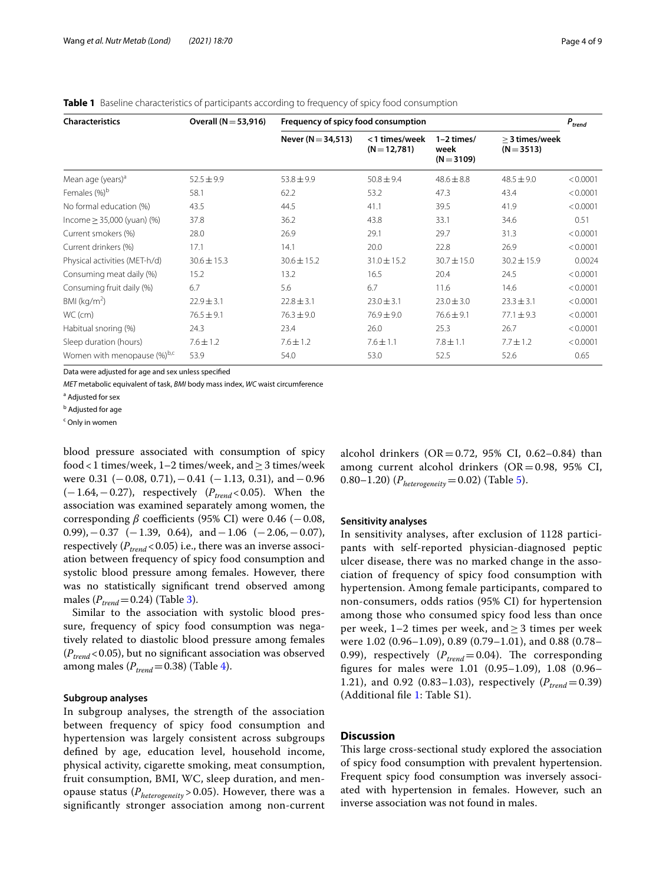| <b>Characteristics</b>          | Overall $(N = 53,916)$ | Frequency of spicy food consumption |                               |                                      |                                  | $P_{trend}$ |
|---------------------------------|------------------------|-------------------------------------|-------------------------------|--------------------------------------|----------------------------------|-------------|
|                                 |                        | Never ( $N = 34,513$ )              | <1 times/week<br>$(N=12,781)$ | $1-2$ times/<br>week<br>$(N = 3109)$ | $>$ 3 times/week<br>$(N = 3513)$ |             |
| Mean age (years) <sup>a</sup>   | $52.5 \pm 9.9$         | $53.8 \pm 9.9$                      | $50.8 \pm 9.4$                | $48.6 \pm 8.8$                       | $48.5 \pm 9.0$                   | < 0.0001    |
| Females (%) <sup>b</sup>        | 58.1                   | 62.2                                | 53.2                          | 47.3                                 | 43.4                             | < 0.0001    |
| No formal education (%)         | 43.5                   | 44.5                                | 41.1                          | 39.5                                 | 41.9                             | < 0.0001    |
| $lncome \geq 35,000$ (yuan) (%) | 37.8                   | 36.2                                | 43.8                          | 33.1                                 | 34.6                             | 0.51        |
| Current smokers (%)             | 28.0                   | 26.9                                | 29.1                          | 29.7                                 | 31.3                             | < 0.0001    |
| Current drinkers (%)            | 17.1                   | 14.1                                | 20.0                          | 22.8                                 | 26.9                             | < 0.0001    |
| Physical activities (MET-h/d)   | $30.6 \pm 15.3$        | $30.6 \pm 15.2$                     | $31.0 \pm 15.2$               | $30.7 \pm 15.0$                      | $30.2 \pm 15.9$                  | 0.0024      |
| Consuming meat daily (%)        | 15.2                   | 13.2                                | 16.5                          | 20.4                                 | 24.5                             | < 0.0001    |
| Consuming fruit daily (%)       | 6.7                    | 5.6                                 | 6.7                           | 11.6                                 | 14.6                             | < 0.0001    |
| BMI ( $kg/m2$ )                 | $22.9 \pm 3.1$         | $22.8 \pm 3.1$                      | $23.0 \pm 3.1$                | $23.0 \pm 3.0$                       | $23.3 \pm 3.1$                   | < 0.0001    |
| WC (cm)                         | $76.5 \pm 9.1$         | $76.3 \pm 9.0$                      | $76.9 \pm 9.0$                | $76.6 \pm 9.1$                       | $77.1 \pm 9.3$                   | < 0.0001    |
| Habitual snoring (%)            | 24.3                   | 23.4                                | 26.0                          | 25.3                                 | 26.7                             | < 0.0001    |
| Sleep duration (hours)          | $7.6 \pm 1.2$          | $7.6 \pm 1.2$                       | $7.6 \pm 1.1$                 | $7.8 \pm 1.1$                        | $7.7 \pm 1.2$                    | < 0.0001    |
| Women with menopause (%)b,c     | 53.9                   | 54.0                                | 53.0                          | 52.5                                 | 52.6                             | 0.65        |

<span id="page-3-0"></span>**Table 1** Baseline characteristics of participants according to frequency of spicy food consumption

Data were adjusted for age and sex unless specifed

*MET* metabolic equivalent of task, *BMI* body mass index, *WC* waist circumference

<sup>a</sup> Adjusted for sex

<sup>b</sup> Adjusted for age

<sup>c</sup> Only in women

blood pressure associated with consumption of spicy food <1 times/week, 1–2 times/week, and  $\geq$  3 times/week were  $0.31$  ( $-0.08$ ,  $0.71$ ),  $-0.41$  ( $-1.13$ ,  $0.31$ ), and  $-0.96$ (−1.64, −0.27), respectively ( $P_{trend}$  < 0.05). When the association was examined separately among women, the corresponding  $\beta$  coefficients (95% CI) were 0.46 ( $-0.08$ , 0.99),−0.37 (−1.39, 0.64), and−1.06 (−2.06,−0.07), respectively  $(P_{trend} < 0.05)$  i.e., there was an inverse association between frequency of spicy food consumption and systolic blood pressure among females. However, there was no statistically signifcant trend observed among males  $(P_{trend}=0.24)$  (Table [3\)](#page-5-0).

Similar to the association with systolic blood pressure, frequency of spicy food consumption was negatively related to diastolic blood pressure among females  $(P_{trend} < 0.05)$ , but no significant association was observed among males  $(P_{trend}=0.38)$  (Table [4](#page-6-0)).

## **Subgroup analyses**

In subgroup analyses, the strength of the association between frequency of spicy food consumption and hypertension was largely consistent across subgroups defned by age, education level, household income, physical activity, cigarette smoking, meat consumption, fruit consumption, BMI, WC, sleep duration, and menopause status (*Pheterogeneity* > 0.05). However, there was a signifcantly stronger association among non-current alcohol drinkers  $(OR = 0.72, 95\% \text{ CI}, 0.62-0.84)$  than among current alcohol drinkers  $(OR = 0.98, 95\% \text{ CI},$ 0.80–1.20) (*Pheterogeneity*=0.02) (Table [5\)](#page-7-0).

## **Sensitivity analyses**

In sensitivity analyses, after exclusion of 1128 participants with self-reported physician-diagnosed peptic ulcer disease, there was no marked change in the association of frequency of spicy food consumption with hypertension. Among female participants, compared to non-consumers, odds ratios (95% CI) for hypertension among those who consumed spicy food less than once per week,  $1-2$  times per week, and  $\geq 3$  times per week were 1.02 (0.96–1.09), 0.89 (0.79–1.01), and 0.88 (0.78– 0.99), respectively  $(P_{trend}=0.04)$ . The corresponding fgures for males were 1.01 (0.95–1.09), 1.08 (0.96– 1.21), and 0.92 (0.83-1.03), respectively ( $P_{trend}$ =0.39) (Additional fle [1:](#page-7-1) Table S1).

# **Discussion**

This large cross-sectional study explored the association of spicy food consumption with prevalent hypertension. Frequent spicy food consumption was inversely associated with hypertension in females. However, such an inverse association was not found in males.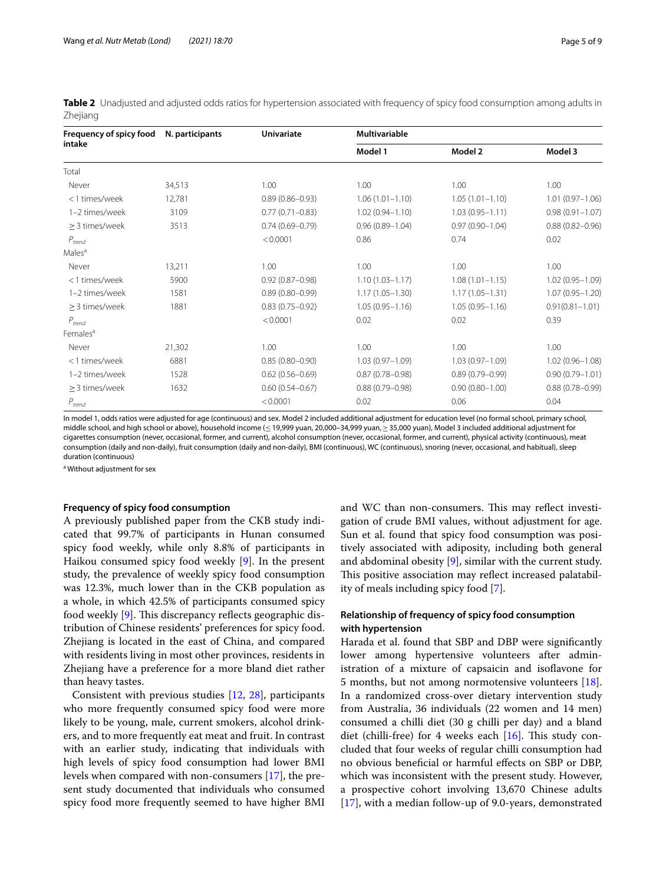<span id="page-4-0"></span>

|          | Table 2 Unadjusted and adjusted odds ratios for hypertension associated with frequency of spicy food consumption among adults in |  |  |
|----------|----------------------------------------------------------------------------------------------------------------------------------|--|--|
| Zhejiang |                                                                                                                                  |  |  |

| Frequency of spicy food | N. participants | <b>Univariate</b>   | Multivariable       |                     |                     |
|-------------------------|-----------------|---------------------|---------------------|---------------------|---------------------|
| intake                  |                 |                     | Model 1             | Model 2             | Model 3             |
| Total                   |                 |                     |                     |                     |                     |
| Never                   | 34,513          | 1.00                | 1.00                | 1.00                | 1.00                |
| <1 times/week           | 12,781          | $0.89(0.86 - 0.93)$ | $1.06(1.01 - 1.10)$ | $1.05(1.01 - 1.10)$ | $1.01(0.97 - 1.06)$ |
| 1-2 times/week          | 3109            | $0.77(0.71 - 0.83)$ | $1.02(0.94 - 1.10)$ | $1.03(0.95 - 1.11)$ | $0.98(0.91 - 1.07)$ |
| > 3 times/week          | 3513            | $0.74(0.69 - 0.79)$ | $0.96(0.89 - 1.04)$ | $0.97(0.90 - 1.04)$ | $0.88(0.82 - 0.96)$ |
| $P_{trend}$             |                 | < 0.0001            | 0.86                | 0.74                | 0.02                |
| Males <sup>a</sup>      |                 |                     |                     |                     |                     |
| Never                   | 13,211          | 1.00                | 1.00                | 1.00                | 1.00                |
| <1 times/week           | 5900            | $0.92(0.87 - 0.98)$ | $1.10(1.03 - 1.17)$ | $1.08(1.01 - 1.15)$ | $1.02(0.95 - 1.09)$ |
| 1-2 times/week          | 1581            | $0.89(0.80 - 0.99)$ | $1.17(1.05 - 1.30)$ | $1.17(1.05 - 1.31)$ | $1.07(0.95 - 1.20)$ |
| $\geq$ 3 times/week     | 1881            | $0.83(0.75 - 0.92)$ | $1.05(0.95 - 1.16)$ | $1.05(0.95 - 1.16)$ | $0.91(0.81 - 1.01)$ |
| $P_{trend}$             |                 | < 0.0001            | 0.02                | 0.02                | 0.39                |
| Females <sup>a</sup>    |                 |                     |                     |                     |                     |
| Never                   | 21,302          | 1.00                | 1.00                | 1.00                | 1.00                |
| <1 times/week           | 6881            | $0.85(0.80 - 0.90)$ | $1.03(0.97 - 1.09)$ | $1.03(0.97 - 1.09)$ | $1.02(0.96 - 1.08)$ |
| 1-2 times/week          | 1528            | $0.62(0.56 - 0.69)$ | $0.87(0.78 - 0.98)$ | $0.89(0.79 - 0.99)$ | $0.90(0.79 - 1.01)$ |
| > 3 times/week          | 1632            | $0.60(0.54 - 0.67)$ | $0.88(0.79 - 0.98)$ | $0.90(0.80 - 1.00)$ | $0.88(0.78 - 0.99)$ |
| $P_{trend}$             |                 | < 0.0001            | 0.02                | 0.06                | 0.04                |

In model 1, odds ratios were adjusted for age (continuous) and sex. Model 2 included additional adjustment for education level (no formal school, primary school, middle school, and high school or above), household income (≤19,999 yuan, 20,000–34,999 yuan,≥35,000 yuan), Model 3 included additional adjustment for cigarettes consumption (never, occasional, former, and current), alcohol consumption (never, occasional, former, and current), physical activity (continuous), meat consumption (daily and non-daily), fruit consumption (daily and non-daily), BMI (continuous), WC (continuous), snoring (never, occasional, and habitual), sleep duration (continuous)

<sup>a</sup> Without adjustment for sex

# **Frequency of spicy food consumption**

A previously published paper from the CKB study indicated that 99.7% of participants in Hunan consumed spicy food weekly, while only 8.8% of participants in Haikou consumed spicy food weekly [\[9](#page-8-8)]. In the present study, the prevalence of weekly spicy food consumption was 12.3%, much lower than in the CKB population as a whole, in which 42.5% of participants consumed spicy food weekly [\[9](#page-8-8)]. This discrepancy reflects geographic distribution of Chinese residents' preferences for spicy food. Zhejiang is located in the east of China, and compared with residents living in most other provinces, residents in Zhejiang have a preference for a more bland diet rather than heavy tastes.

Consistent with previous studies [\[12](#page-8-11), [28\]](#page-8-24), participants who more frequently consumed spicy food were more likely to be young, male, current smokers, alcohol drinkers, and to more frequently eat meat and fruit. In contrast with an earlier study, indicating that individuals with high levels of spicy food consumption had lower BMI levels when compared with non-consumers [\[17](#page-8-25)], the present study documented that individuals who consumed spicy food more frequently seemed to have higher BMI and WC than non-consumers. This may reflect investigation of crude BMI values, without adjustment for age. Sun et al. found that spicy food consumption was positively associated with adiposity, including both general and abdominal obesity [[9\]](#page-8-8), similar with the current study. This positive association may reflect increased palatability of meals including spicy food [[7\]](#page-8-6).

# **Relationship of frequency of spicy food consumption with hypertension**

Harada et al. found that SBP and DBP were signifcantly lower among hypertensive volunteers after administration of a mixture of capsaicin and isoflavone for 5 months, but not among normotensive volunteers [\[18](#page-8-15)]. In a randomized cross-over dietary intervention study from Australia, 36 individuals (22 women and 14 men) consumed a chilli diet (30 g chilli per day) and a bland diet (chilli-free) for 4 weeks each  $[16]$  $[16]$ . This study concluded that four weeks of regular chilli consumption had no obvious benefcial or harmful efects on SBP or DBP, which was inconsistent with the present study. However, a prospective cohort involving 13,670 Chinese adults [[17\]](#page-8-25), with a median follow-up of 9.0-years, demonstrated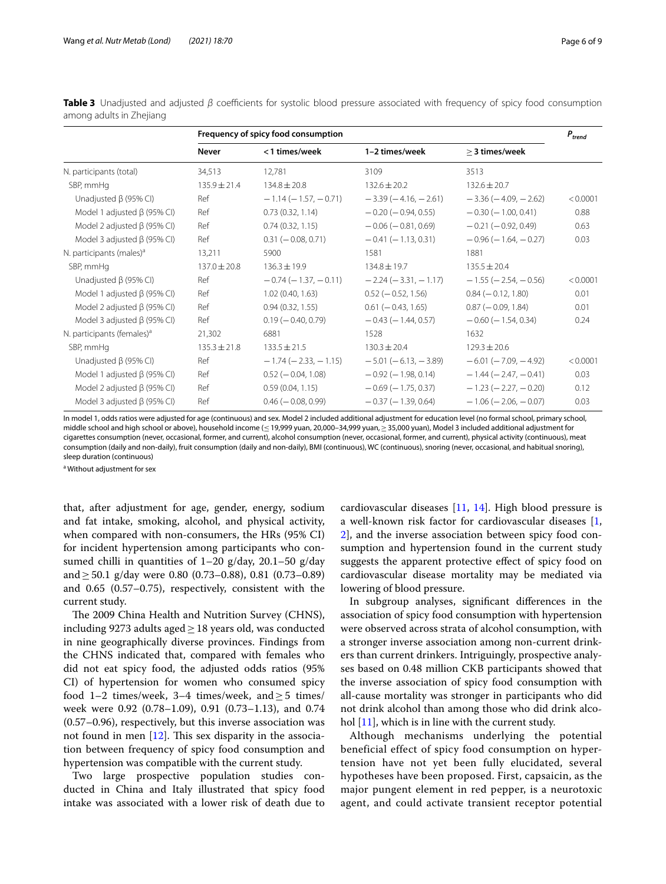|                                        | Frequency of spicy food consumption |                               |                               | $P_{trend}$                   |          |
|----------------------------------------|-------------------------------------|-------------------------------|-------------------------------|-------------------------------|----------|
|                                        | <b>Never</b>                        | <1 times/week                 | 1-2 times/week                | > 3 times/week                |          |
| N. participants (total)                | 34,513                              | 12.781                        | 3109                          | 3513                          |          |
| SBP, mmHg                              | $135.9 \pm 21.4$                    | $134.8 \pm 20.8$              | $132.6 \pm 20.2$              | $132.6 \pm 20.7$              |          |
| Unadjusted $\beta$ (95% CI)            | Ref                                 | $-1.14(-1.57,-0.71)$          | $-3.39(-4.16, -2.61)$         | $-3.36(-4.09, -2.62)$         | < 0.0001 |
| Model 1 adjusted $\beta$ (95% CI)      | Ref                                 | 0.73(0.32, 1.14)              | $-0.20$ ( $-0.94$ , 0.55)     | $-0.30(-1.00, 0.41)$          | 0.88     |
| Model 2 adjusted $\beta$ (95% CI)      | Ref                                 | 0.74(0.32, 1.15)              | $-0.06$ ( $-0.81$ , 0.69)     | $-0.21$ ( $-0.92, 0.49$ )     | 0.63     |
| Model 3 adjusted $\beta$ (95% CI)      | Ref                                 | $0.31 (-0.08, 0.71)$          | $-0.41(-1.13, 0.31)$          | $-0.96$ ( $-1.64$ , $-0.27$ ) | 0.03     |
| N. participants (males) <sup>a</sup>   | 13,211                              | 5900                          | 1581                          | 1881                          |          |
| SBP, mmHq                              | $137.0 \pm 20.8$                    | $136.3 \pm 19.9$              | $134.8 \pm 19.7$              | $135.5 \pm 20.4$              |          |
| Unadjusted $\beta$ (95% CI)            | Ref                                 | $-0.74$ ( $-1.37$ , $-0.11$ ) | $-2.24 (-3.31, -1.17)$        | $-1.55$ ( $-2.54$ , $-0.56$ ) | < 0.0001 |
| Model 1 adjusted $\beta$ (95% CI)      | Ref                                 | 1.02(0.40, 1.63)              | $0.52$ ( $-0.52$ , 1.56)      | $0.84 (-0.12, 1.80)$          | 0.01     |
| Model 2 adjusted $\beta$ (95% CI)      | Ref                                 | 0.94(0.32, 1.55)              | $0.61 (-0.43, 1.65)$          | $0.87 (-0.09, 1.84)$          | 0.01     |
| Model 3 adjusted $\beta$ (95% CI)      | Ref                                 | $0.19 (-0.40, 0.79)$          | $-0.43$ ( $-1.44$ , 0.57)     | $-0.60$ ( $-1.54$ , 0.34)     | 0.24     |
| N. participants (females) <sup>a</sup> | 21,302                              | 6881                          | 1528                          | 1632                          |          |
| SBP, mmHq                              | $135.3 \pm 21.8$                    | $133.5 \pm 21.5$              | $130.3 \pm 20.4$              | $129.3 \pm 20.6$              |          |
| Unadjusted $\beta$ (95% CI)            | Ref                                 | $-1.74$ ( $-2.33$ , $-1.15$ ) | $-5.01$ ( $-6.13$ , $-3.89$ ) | $-6.01$ ( $-7.09$ , $-4.92$ ) | < 0.0001 |
| Model 1 adjusted $\beta$ (95% CI)      | Ref                                 | $0.52 (-0.04, 1.08)$          | $-0.92$ ( $-1.98$ , 0.14)     | $-1.44 (-2.47, -0.41)$        | 0.03     |
| Model 2 adjusted $\beta$ (95% CI)      | Ref                                 | 0.59(0.04, 1.15)              | $-0.69$ ( $-1.75$ , 0.37)     | $-1.23$ ( $-2.27$ , $-0.20$ ) | 0.12     |
| Model 3 adjusted $\beta$ (95% CI)      | Ref                                 | $0.46 (-0.08, 0.99)$          | $-0.37$ ( $-1.39$ , 0.64)     | $-1.06$ ( $-2.06$ , $-0.07$ ) | 0.03     |

<span id="page-5-0"></span>**Table 3** Unadjusted and adjusted *β* coefficients for systolic blood pressure associated with frequency of spicy food consumption among adults in Zhejiang

In model 1, odds ratios were adjusted for age (continuous) and sex. Model 2 included additional adjustment for education level (no formal school, primary school, middle school and high school or above), household income (≤19,999 yuan, 20,000–34,999 yuan,≥35,000 yuan), Model 3 included additional adjustment for cigarettes consumption (never, occasional, former, and current), alcohol consumption (never, occasional, former, and current), physical activity (continuous), meat consumption (daily and non-daily), fruit consumption (daily and non-daily), BMI (continuous), WC (continuous), snoring (never, occasional, and habitual snoring), sleep duration (continuous)

<sup>a</sup> Without adjustment for sex

that, after adjustment for age, gender, energy, sodium and fat intake, smoking, alcohol, and physical activity, when compared with non-consumers, the HRs (95% CI) for incident hypertension among participants who consumed chilli in quantities of  $1-20$  g/day,  $20.1-50$  g/day and  $\geq$  50.1 g/day were 0.80 (0.73–0.88), 0.81 (0.73–0.89) and 0.65 (0.57–0.75), respectively, consistent with the current study.

The 2009 China Health and Nutrition Survey (CHNS), including 9273 adults aged  $\geq$  18 years old, was conducted in nine geographically diverse provinces. Findings from the CHNS indicated that, compared with females who did not eat spicy food, the adjusted odds ratios (95% CI) of hypertension for women who consumed spicy food 1–2 times/week, 3–4 times/week, and  $\geq$  5 times/ week were 0.92 (0.78–1.09), 0.91 (0.73–1.13), and 0.74 (0.57–0.96), respectively, but this inverse association was not found in men  $[12]$  $[12]$  $[12]$ . This sex disparity in the association between frequency of spicy food consumption and hypertension was compatible with the current study.

Two large prospective population studies conducted in China and Italy illustrated that spicy food intake was associated with a lower risk of death due to cardiovascular diseases [[11,](#page-8-10) [14](#page-8-12)]. High blood pressure is a well-known risk factor for cardiovascular diseases [\[1](#page-8-0), [2\]](#page-8-1), and the inverse association between spicy food consumption and hypertension found in the current study suggests the apparent protective efect of spicy food on cardiovascular disease mortality may be mediated via lowering of blood pressure.

In subgroup analyses, signifcant diferences in the association of spicy food consumption with hypertension were observed across strata of alcohol consumption, with a stronger inverse association among non-current drinkers than current drinkers. Intriguingly, prospective analyses based on 0.48 million CKB participants showed that the inverse association of spicy food consumption with all-cause mortality was stronger in participants who did not drink alcohol than among those who did drink alco-hol [\[11](#page-8-10)], which is in line with the current study.

Although mechanisms underlying the potential beneficial effect of spicy food consumption on hypertension have not yet been fully elucidated, several hypotheses have been proposed. First, capsaicin, as the major pungent element in red pepper, is a neurotoxic agent, and could activate transient receptor potential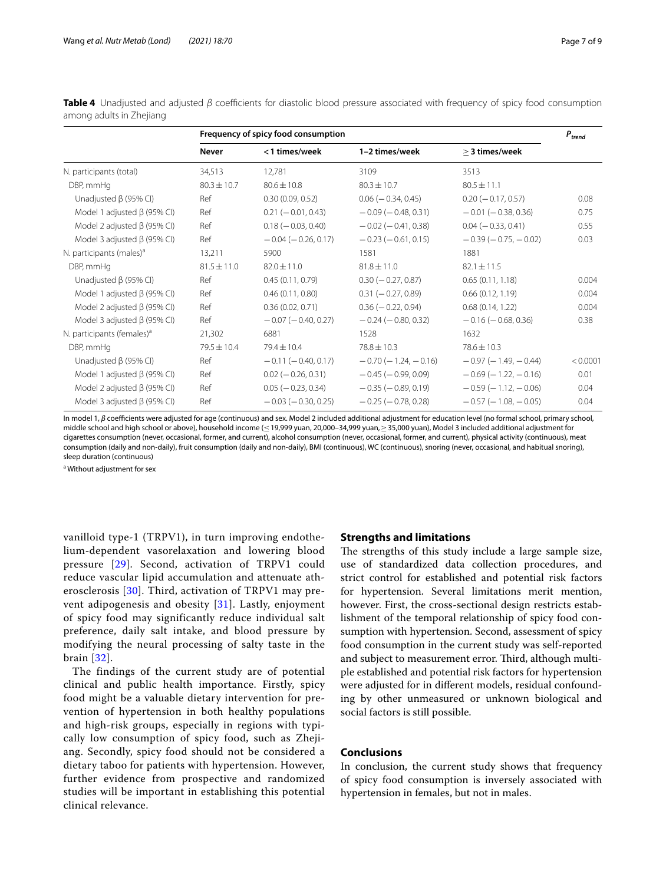|                                        | Frequency of spicy food consumption |                           |                               | $P_{trend}$                   |          |
|----------------------------------------|-------------------------------------|---------------------------|-------------------------------|-------------------------------|----------|
|                                        | <b>Never</b>                        | <1 times/week             | 1-2 times/week                | > 3 times/week                |          |
| N. participants (total)                | 34,513                              | 12,781                    | 3109                          | 3513                          |          |
| DBP, mmHg                              | $80.3 \pm 10.7$                     | $80.6 \pm 10.8$           | $80.3 \pm 10.7$               | $80.5 \pm 11.1$               |          |
| Unadjusted $\beta$ (95% CI)            | Ref                                 | 0.30(0.09, 0.52)          | $0.06 (-0.34, 0.45)$          | $0.20 (-0.17, 0.57)$          | 0.08     |
| Model 1 adjusted $\beta$ (95% CI)      | Ref                                 | $0.21 (-0.01, 0.43)$      | $-0.09$ ( $-0.48$ , 0.31)     | $-0.01$ ( $-0.38, 0.36$ )     | 0.75     |
| Model 2 adjusted $\beta$ (95% CI)      | Ref                                 | $0.18 (-0.03, 0.40)$      | $-0.02$ ( $-0.41$ , 0.38)     | $0.04 (-0.33, 0.41)$          | 0.55     |
| Model 3 adjusted $\beta$ (95% CI)      | Ref                                 | $-0.04 (-0.26, 0.17)$     | $-0.23$ ( $-0.61, 0.15$ )     | $-0.39(-0.75, -0.02)$         | 0.03     |
| N. participants (males) <sup>a</sup>   | 13,211                              | 5900                      | 1581                          | 1881                          |          |
| DBP, mmHg                              | $81.5 \pm 11.0$                     | $82.0 \pm 11.0$           | $81.8 \pm 11.0$               | $82.1 \pm 11.5$               |          |
| Unadjusted $\beta$ (95% CI)            | Ref                                 | 0.45(0.11, 0.79)          | $0.30 (-0.27, 0.87)$          | 0.65(0.11, 1.18)              | 0.004    |
| Model 1 adjusted $\beta$ (95% CI)      | Ref                                 | 0.46(0.11, 0.80)          | $0.31 (-0.27, 0.89)$          | 0.66(0.12, 1.19)              | 0.004    |
| Model 2 adjusted $\beta$ (95% CI)      | Ref                                 | 0.36(0.02, 0.71)          | $0.36 (-0.22, 0.94)$          | 0.68(0.14, 1.22)              | 0.004    |
| Model 3 adjusted $\beta$ (95% CI)      | Ref                                 | $-0.07$ ( $-0.40$ , 0.27) | $-0.24$ ( $-0.80, 0.32$ )     | $-0.16$ ( $-0.68$ , 0.36)     | 0.38     |
| N. participants (females) <sup>a</sup> | 21,302                              | 6881                      | 1528                          | 1632                          |          |
| DBP, mmHg                              | $79.5 \pm 10.4$                     | $79.4 \pm 10.4$           | $78.8 \pm 10.3$               | $78.6 \pm 10.3$               |          |
| Unadjusted $\beta$ (95% CI)            | Ref                                 | $-0.11 (-0.40, 0.17)$     | $-0.70$ ( $-1.24$ , $-0.16$ ) | $-0.97$ ( $-1.49$ , $-0.44$ ) | < 0.0001 |
| Model 1 adjusted $\beta$ (95% CI)      | Ref                                 | $0.02 (-0.26, 0.31)$      | $-0.45$ ( $-0.99, 0.09$ )     | $-0.69(-1.22,-0.16)$          | 0.01     |
| Model 2 adjusted $\beta$ (95% CI)      | Ref                                 | $0.05 (-0.23, 0.34)$      | $-0.35 (-0.89, 0.19)$         | $-0.59(-1.12,-0.06)$          | 0.04     |
| Model 3 adjusted $\beta$ (95% CI)      | Ref                                 | $-0.03$ ( $-0.30, 0.25$ ) | $-0.25$ ( $-0.78, 0.28$ )     | $-0.57$ ( $-1.08$ , $-0.05$ ) | 0.04     |

<span id="page-6-0"></span>**Table 4** Unadjusted and adjusted *β* coefficients for diastolic blood pressure associated with frequency of spicy food consumption among adults in Zheijang

In model 1, *β* coefficients were adjusted for age (continuous) and sex. Model 2 included additional adjustment for education level (no formal school, primary school, middle school and high school or above), household income (≤19,999 yuan, 20,000–34,999 yuan,≥35,000 yuan), Model 3 included additional adjustment for cigarettes consumption (never, occasional, former, and current), alcohol consumption (never, occasional, former, and current), physical activity (continuous), meat consumption (daily and non-daily), fruit consumption (daily and non-daily), BMI (continuous), WC (continuous), snoring (never, occasional, and habitual snoring), sleep duration (continuous)

<sup>a</sup> Without adjustment for sex

vanilloid type-1 (TRPV1), in turn improving endothelium-dependent vasorelaxation and lowering blood pressure [[29\]](#page-8-26). Second, activation of TRPV1 could reduce vascular lipid accumulation and attenuate atherosclerosis [[30](#page-8-27)]. Third, activation of TRPV1 may prevent adipogenesis and obesity [[31\]](#page-8-28). Lastly, enjoyment of spicy food may significantly reduce individual salt preference, daily salt intake, and blood pressure by modifying the neural processing of salty taste in the brain [[32](#page-8-29)].

The findings of the current study are of potential clinical and public health importance. Firstly, spicy food might be a valuable dietary intervention for prevention of hypertension in both healthy populations and high-risk groups, especially in regions with typically low consumption of spicy food, such as Zhejiang. Secondly, spicy food should not be considered a dietary taboo for patients with hypertension. However, further evidence from prospective and randomized studies will be important in establishing this potential clinical relevance.

# **Strengths and limitations**

The strengths of this study include a large sample size, use of standardized data collection procedures, and strict control for established and potential risk factors for hypertension. Several limitations merit mention, however. First, the cross-sectional design restricts establishment of the temporal relationship of spicy food consumption with hypertension. Second, assessment of spicy food consumption in the current study was self-reported and subject to measurement error. Third, although multiple established and potential risk factors for hypertension were adjusted for in diferent models, residual confounding by other unmeasured or unknown biological and social factors is still possible.

# **Conclusions**

In conclusion, the current study shows that frequency of spicy food consumption is inversely associated with hypertension in females, but not in males.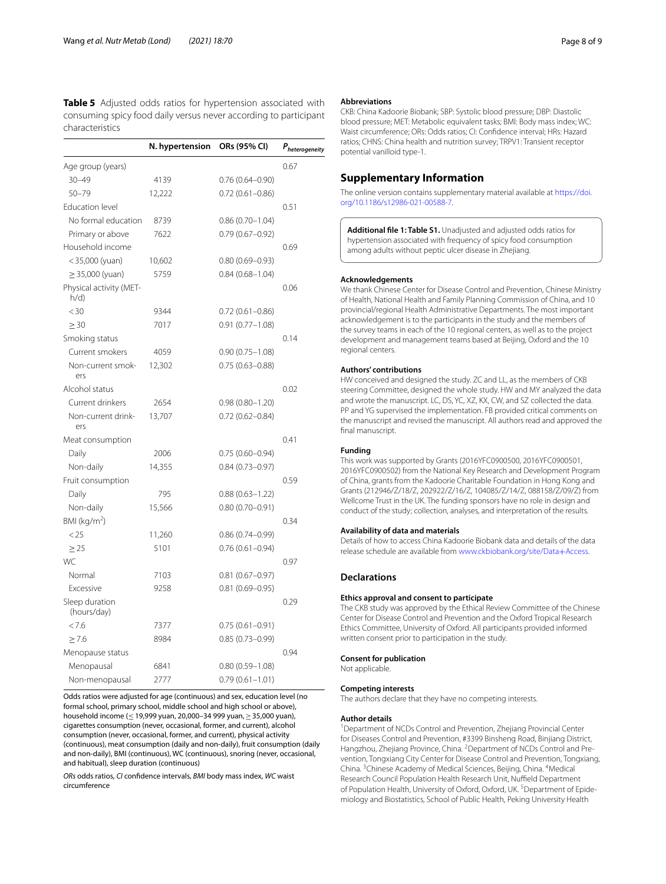<span id="page-7-0"></span>**Table 5** Adjusted odds ratios for hypertension associated with consuming spicy food daily versus never according to participant characteristics

|                                | N. hypertension | ORs (95% CI)        | $P_{heterogeneity}$ |
|--------------------------------|-----------------|---------------------|---------------------|
| Age group (years)              |                 |                     | 0.67                |
| $30 - 49$                      | 4139            | $0.76(0.64 - 0.90)$ |                     |
| $50 - 79$                      | 12,222          | $0.72(0.61 - 0.86)$ |                     |
| <b>Education level</b>         |                 |                     | 0.51                |
| No formal education            | 8739            | $0.86(0.70 - 1.04)$ |                     |
| Primary or above               | 7622            | $0.79(0.67 - 0.92)$ |                     |
| Household income               |                 |                     | 0.69                |
| $<$ 35,000 (yuan)              | 10,602          | $0.80(0.69 - 0.93)$ |                     |
| $\geq$ 35,000 (yuan)           | 5759            | $0.84(0.68 - 1.04)$ |                     |
| Physical activity (MET-<br>h/d |                 |                     | 0.06                |
| < 30                           | 9344            | $0.72(0.61 - 0.86)$ |                     |
| $\geq$ 30                      | 7017            | $0.91(0.77 - 1.08)$ |                     |
| Smoking status                 |                 |                     | 0.14                |
| Current smokers                | 4059            | $0.90(0.75 - 1.08)$ |                     |
| Non-current smok-<br>ers       | 12,302          | $0.75(0.63 - 0.88)$ |                     |
| Alcohol status                 |                 |                     | 0.02                |
| Current drinkers               | 2654            | $0.98(0.80 - 1.20)$ |                     |
| Non-current drink-<br>ers      | 13,707          | $0.72(0.62 - 0.84)$ |                     |
| Meat consumption               |                 |                     | 0.41                |
| Daily                          | 2006            | $0.75(0.60 - 0.94)$ |                     |
| Non-daily                      | 14,355          | $0.84(0.73 - 0.97)$ |                     |
| Fruit consumption              |                 |                     | 0.59                |
| Daily                          | 795             | $0.88(0.63 - 1.22)$ |                     |
| Non-daily                      | 15,566          | $0.80(0.70 - 0.91)$ |                     |
| BMI ( $kg/m2$ )                |                 |                     | 0.34                |
| < 25                           | 11,260          | $0.86(0.74 - 0.99)$ |                     |
| > 25                           | 5101            | $0.76(0.61 - 0.94)$ |                     |
| WC                             |                 |                     | 0.97                |
| Normal                         | 7103            | $0.81(0.67 - 0.97)$ |                     |
| Excessive                      | 9258            | $0.81(0.69 - 0.95)$ |                     |
| Sleep duration<br>(hours/day)  |                 |                     | 0.29                |
| < 7.6                          | 7377            | $0.75(0.61 - 0.91)$ |                     |
| > 7.6                          | 8984            | $0.85(0.73 - 0.99)$ |                     |
| Menopause status               |                 |                     | 0.94                |
| Menopausal                     | 6841            | $0.80(0.59 - 1.08)$ |                     |
| Non-menopausal                 | 2777            | $0.79(0.61 - 1.01)$ |                     |

Odds ratios were adjusted for age (continuous) and sex, education level (no formal school, primary school, middle school and high school or above), household income (≤19,999 yuan, 20,000–34 999 yuan,≥35,000 yuan), cigarettes consumption (never, occasional, former, and current), alcohol consumption (never, occasional, former, and current), physical activity (continuous), meat consumption (daily and non-daily), fruit consumption (daily and non-daily), BMI (continuous), WC (continuous), snoring (never, occasional, and habitual), sleep duration (continuous)

*ORs* odds ratios, *CI* confdence intervals, *BMI* body mass index, *WC* waist circumference

#### **Abbreviations**

CKB: China Kadoorie Biobank; SBP: Systolic blood pressure; DBP: Diastolic blood pressure; MET: Metabolic equivalent tasks; BMI: Body mass index; WC: Waist circumference; ORs: Odds ratios; CI: Confdence interval; HRs: Hazard ratios; CHNS: China health and nutrition survey; TRPV1: Transient receptor potential vanilloid type-1.

# **Supplementary Information**

The online version contains supplementary material available at [https://doi.](https://doi.org/10.1186/s12986-021-00588-7) [org/10.1186/s12986-021-00588-7](https://doi.org/10.1186/s12986-021-00588-7).

<span id="page-7-1"></span>**Additional fle 1: Table S1.** Unadjusted and adjusted odds ratios for hypertension associated with frequency of spicy food consumption among adults without peptic ulcer disease in Zhejiang.

#### **Acknowledgements**

We thank Chinese Center for Disease Control and Prevention, Chinese Ministry of Health, National Health and Family Planning Commission of China, and 10 provincial/regional Health Administrative Departments. The most important acknowledgement is to the participants in the study and the members of the survey teams in each of the 10 regional centers, as well as to the project development and management teams based at Beijing, Oxford and the 10 regional centers.

#### **Authors' contributions**

HW conceived and designed the study. ZC and LL, as the members of CKB steering Committee, designed the whole study. HW and MY analyzed the data and wrote the manuscript. LC, DS, YC, XZ, KX, CW, and SZ collected the data. PP and YG supervised the implementation. FB provided critical comments on the manuscript and revised the manuscript. All authors read and approved the final manuscript.

#### **Funding**

This work was supported by Grants (2016YFC0900500, 2016YFC0900501, 2016YFC0900502) from the National Key Research and Development Program of China, grants from the Kadoorie Charitable Foundation in Hong Kong and Grants (212946/Z/18/Z, 202922/Z/16/Z, 104085/Z/14/Z, 088158/Z/09/Z) from Wellcome Trust in the UK. The funding sponsors have no role in design and conduct of the study; collection, analyses, and interpretation of the results.

#### **Availability of data and materials**

Details of how to access China Kadoorie Biobank data and details of the data release schedule are available from [www.ckbiobank.org/site/Data](http://www.ckbiobank.org/site/Data+Access)+Access.

# **Declarations**

#### **Ethics approval and consent to participate**

The CKB study was approved by the Ethical Review Committee of the Chinese Center for Disease Control and Prevention and the Oxford Tropical Research Ethics Committee, University of Oxford. All participants provided informed written consent prior to participation in the study.

#### **Consent for publication**

Not applicable.

#### **Competing interests**

The authors declare that they have no competing interests.

#### **Author details**

<sup>1</sup> Department of NCDs Control and Prevention, Zhejiang Provincial Center for Diseases Control and Prevention, #3399 Binsheng Road, Binjiang District, Hangzhou, Zhejiang Province, China. <sup>2</sup> Department of NCDs Control and Prevention, Tongxiang City Center for Disease Control and Prevention, Tongxiang, China. <sup>3</sup> Chinese Academy of Medical Sciences, Beijing, China. <sup>4</sup> Medical Research Council Population Health Research Unit, Nuffield Department of Population Health, University of Oxford, Oxford, UK.<sup>5</sup> Department of Epidemiology and Biostatistics, School of Public Health, Peking University Health